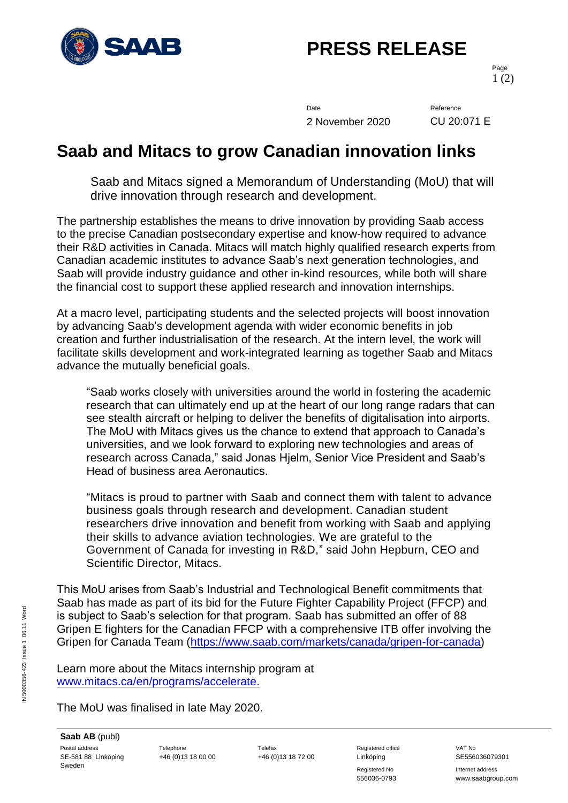

# **PRESS RELEASE**

Page 1 (2)

Date Reference 2 November 2020 CU 20:071 E

### **Saab and Mitacs to grow Canadian innovation links**

Saab and Mitacs signed a Memorandum of Understanding (MoU) that will drive innovation through research and development.

The partnership establishes the means to drive innovation by providing Saab access to the precise Canadian postsecondary expertise and know-how required to advance their R&D activities in Canada. Mitacs will match highly qualified research experts from Canadian academic institutes to advance Saab's next generation technologies, and Saab will provide industry guidance and other in-kind resources, while both will share the financial cost to support these applied research and innovation internships.

At a macro level, participating students and the selected projects will boost innovation by advancing Saab's development agenda with wider economic benefits in job creation and further industrialisation of the research. At the intern level, the work will facilitate skills development and work-integrated learning as together Saab and Mitacs advance the mutually beneficial goals.

"Saab works closely with universities around the world in fostering the academic research that can ultimately end up at the heart of our long range radars that can see stealth aircraft or helping to deliver the benefits of digitalisation into airports. The MoU with Mitacs gives us the chance to extend that approach to Canada's universities, and we look forward to exploring new technologies and areas of research across Canada," said Jonas Hjelm, Senior Vice President and Saab's Head of business area Aeronautics.

"Mitacs is proud to partner with Saab and connect them with talent to advance business goals through research and development. Canadian student researchers drive innovation and benefit from working with Saab and applying their skills to advance aviation technologies. We are grateful to the Government of Canada for investing in R&D," said John Hepburn, CEO and Scientific Director, Mitacs.

This MoU arises from Saab's Industrial and Technological Benefit commitments that Saab has made as part of its bid for the Future Fighter Capability Project (FFCP) and is subject to Saab's selection for that program. Saab has submitted an offer of 88 Gripen E fighters for the Canadian FFCP with a comprehensive ITB offer involving the Gripen for Canada Team [\(https://www.saab.com/markets/canada/gripen-for-canada\)](https://www.saab.com/markets/canada/gripen-for-canada)

Learn more about the Mitacs internship program at [www.mitacs.ca/en/programs/accelerate.](https://www.mitacs.ca/en/programs/accelerate)

The MoU was finalised in late May 2020.

Registered No **Internet address** 556036-0793 www.saabgroup.com